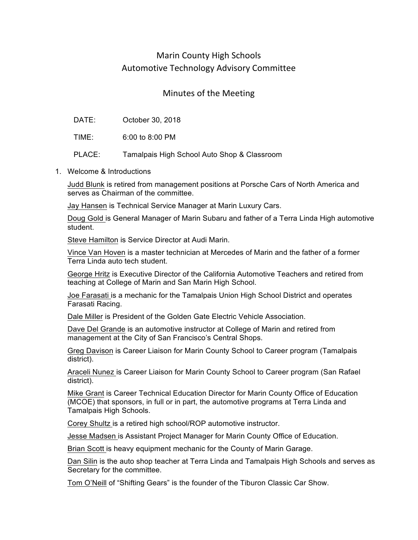## Marin County High Schools Automotive Technology Advisory Committee

## Minutes of the Meeting

| DATE: | October 30, 2018 |  |
|-------|------------------|--|
|-------|------------------|--|

TIME: 6:00 to 8:00 PM

PLACE: Tamalpais High School Auto Shop & Classroom

1. Welcome & Introductions

Judd Blunk is retired from management positions at Porsche Cars of North America and serves as Chairman of the committee.

Jay Hansen is Technical Service Manager at Marin Luxury Cars.

Doug Gold is General Manager of Marin Subaru and father of a Terra Linda High automotive student.

Steve Hamilton is Service Director at Audi Marin.

Vince Van Hoven is a master technician at Mercedes of Marin and the father of a former Terra Linda auto tech student.

George Hritz is Executive Director of the California Automotive Teachers and retired from teaching at College of Marin and San Marin High School.

Joe Farasati is a mechanic for the Tamalpais Union High School District and operates Farasati Racing.

Dale Miller is President of the Golden Gate Electric Vehicle Association.

Dave Del Grande is an automotive instructor at College of Marin and retired from management at the City of San Francisco's Central Shops.

Greg Davison is Career Liaison for Marin County School to Career program (Tamalpais district).

Araceli Nunez is Career Liaison for Marin County School to Career program (San Rafael district).

Mike Grant is Career Technical Education Director for Marin County Office of Education (MCOE) that sponsors, in full or in part, the automotive programs at Terra Linda and Tamalpais High Schools.

Corey Shultz is a retired high school/ROP automotive instructor.

Jesse Madsen is Assistant Project Manager for Marin County Office of Education.

Brian Scott is heavy equipment mechanic for the County of Marin Garage.

Dan Silin is the auto shop teacher at Terra Linda and Tamalpais High Schools and serves as Secretary for the committee.

Tom O'Neill of "Shifting Gears" is the founder of the Tiburon Classic Car Show.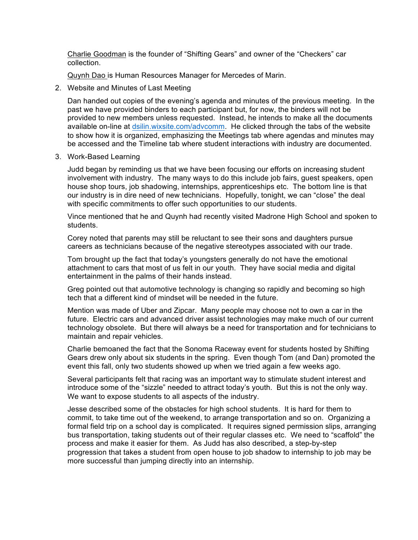Charlie Goodman is the founder of "Shifting Gears" and owner of the "Checkers" car collection.

Quynh Dao is Human Resources Manager for Mercedes of Marin.

2. Website and Minutes of Last Meeting

Dan handed out copies of the evening's agenda and minutes of the previous meeting. In the past we have provided binders to each participant but, for now, the binders will not be provided to new members unless requested. Instead, he intends to make all the documents available on-line at dsilin.wixsite.com/advcomm. He clicked through the tabs of the website to show how it is organized, emphasizing the Meetings tab where agendas and minutes may be accessed and the Timeline tab where student interactions with industry are documented.

3. Work-Based Learning

Judd began by reminding us that we have been focusing our efforts on increasing student involvement with industry. The many ways to do this include job fairs, guest speakers, open house shop tours, job shadowing, internships, apprenticeships etc. The bottom line is that our industry is in dire need of new technicians. Hopefully, tonight, we can "close" the deal with specific commitments to offer such opportunities to our students.

Vince mentioned that he and Quynh had recently visited Madrone High School and spoken to students.

Corey noted that parents may still be reluctant to see their sons and daughters pursue careers as technicians because of the negative stereotypes associated with our trade.

Tom brought up the fact that today's youngsters generally do not have the emotional attachment to cars that most of us felt in our youth. They have social media and digital entertainment in the palms of their hands instead.

Greg pointed out that automotive technology is changing so rapidly and becoming so high tech that a different kind of mindset will be needed in the future.

Mention was made of Uber and Zipcar. Many people may choose not to own a car in the future. Electric cars and advanced driver assist technologies may make much of our current technology obsolete. But there will always be a need for transportation and for technicians to maintain and repair vehicles.

Charlie bemoaned the fact that the Sonoma Raceway event for students hosted by Shifting Gears drew only about six students in the spring. Even though Tom (and Dan) promoted the event this fall, only two students showed up when we tried again a few weeks ago.

Several participants felt that racing was an important way to stimulate student interest and introduce some of the "sizzle" needed to attract today's youth. But this is not the only way. We want to expose students to all aspects of the industry.

Jesse described some of the obstacles for high school students. It is hard for them to commit, to take time out of the weekend, to arrange transportation and so on. Organizing a formal field trip on a school day is complicated. It requires signed permission slips, arranging bus transportation, taking students out of their regular classes etc. We need to "scaffold" the process and make it easier for them. As Judd has also described, a step-by-step progression that takes a student from open house to job shadow to internship to job may be more successful than jumping directly into an internship.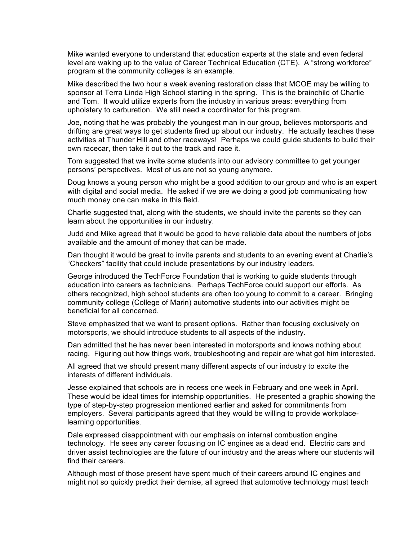Mike wanted everyone to understand that education experts at the state and even federal level are waking up to the value of Career Technical Education (CTE). A "strong workforce" program at the community colleges is an example.

Mike described the two hour a week evening restoration class that MCOE may be willing to sponsor at Terra Linda High School starting in the spring. This is the brainchild of Charlie and Tom. It would utilize experts from the industry in various areas: everything from upholstery to carburetion. We still need a coordinator for this program.

Joe, noting that he was probably the youngest man in our group, believes motorsports and drifting are great ways to get students fired up about our industry. He actually teaches these activities at Thunder Hill and other raceways! Perhaps we could guide students to build their own racecar, then take it out to the track and race it.

Tom suggested that we invite some students into our advisory committee to get younger persons' perspectives. Most of us are not so young anymore.

Doug knows a young person who might be a good addition to our group and who is an expert with digital and social media. He asked if we are we doing a good job communicating how much money one can make in this field.

Charlie suggested that, along with the students, we should invite the parents so they can learn about the opportunities in our industry.

Judd and Mike agreed that it would be good to have reliable data about the numbers of jobs available and the amount of money that can be made.

Dan thought it would be great to invite parents and students to an evening event at Charlie's "Checkers" facility that could include presentations by our industry leaders.

George introduced the TechForce Foundation that is working to guide students through education into careers as technicians. Perhaps TechForce could support our efforts. As others recognized, high school students are often too young to commit to a career. Bringing community college (College of Marin) automotive students into our activities might be beneficial for all concerned.

Steve emphasized that we want to present options. Rather than focusing exclusively on motorsports, we should introduce students to all aspects of the industry.

Dan admitted that he has never been interested in motorsports and knows nothing about racing. Figuring out how things work, troubleshooting and repair are what got him interested.

All agreed that we should present many different aspects of our industry to excite the interests of different individuals.

Jesse explained that schools are in recess one week in February and one week in April. These would be ideal times for internship opportunities. He presented a graphic showing the type of step-by-step progression mentioned earlier and asked for commitments from employers. Several participants agreed that they would be willing to provide workplacelearning opportunities.

Dale expressed disappointment with our emphasis on internal combustion engine technology. He sees any career focusing on IC engines as a dead end. Electric cars and driver assist technologies are the future of our industry and the areas where our students will find their careers.

Although most of those present have spent much of their careers around IC engines and might not so quickly predict their demise, all agreed that automotive technology must teach